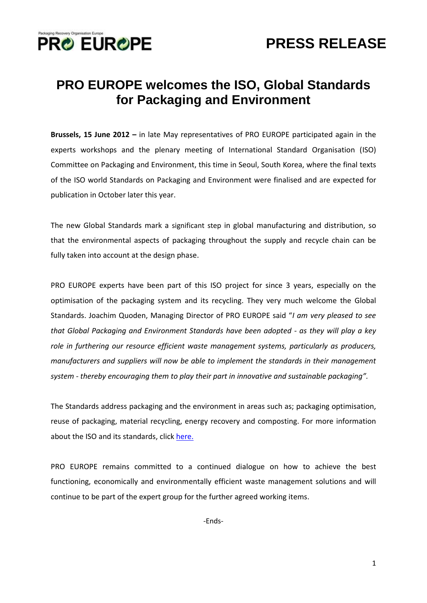

## **PRO EUROPE welcomes the ISO, Global Standards for Packaging and Environment**

**Brussels, 15 June 2012 –** in late May representatives of PRO EUROPE participated again in the experts workshops and the plenary meeting of International Standard Organisation (ISO) Committee on Packaging and Environment, this time in Seoul, South Korea, where the final texts of the ISO world Standards on Packaging and Environment were finalised and are expected for publication in October later this year.

The new Global Standards mark a significant step in global manufacturing and distribution, so that the environmental aspects of packaging throughout the supply and recycle chain can be fully taken into account at the design phase.

PRO EUROPE experts have been part of this ISO project for since 3 years, especially on the optimisation of the packaging system and its recycling. They very much welcome the Global Standards. Joachim Quoden, Managing Director of PRO EUROPE said "*I am very pleased to see that Global Packaging and Environment Standards have been adopted - as they will play a key role in furthering our resource efficient waste management systems, particularly as producers, manufacturers and suppliers will now be able to implement the standards in their management system - thereby encouraging them to play their part in innovative and sustainable packaging".*

The Standards address packaging and the environment in areas such as; packaging optimisation, reuse of packaging, material recycling, energy recovery and composting. For more information about the ISO and its standards, click [here.](http://www.iso.org/iso/home.html)

PRO EUROPE remains committed to a continued dialogue on how to achieve the best functioning, economically and environmentally efficient waste management solutions and will continue to be part of the expert group for the further agreed working items.

-Ends-